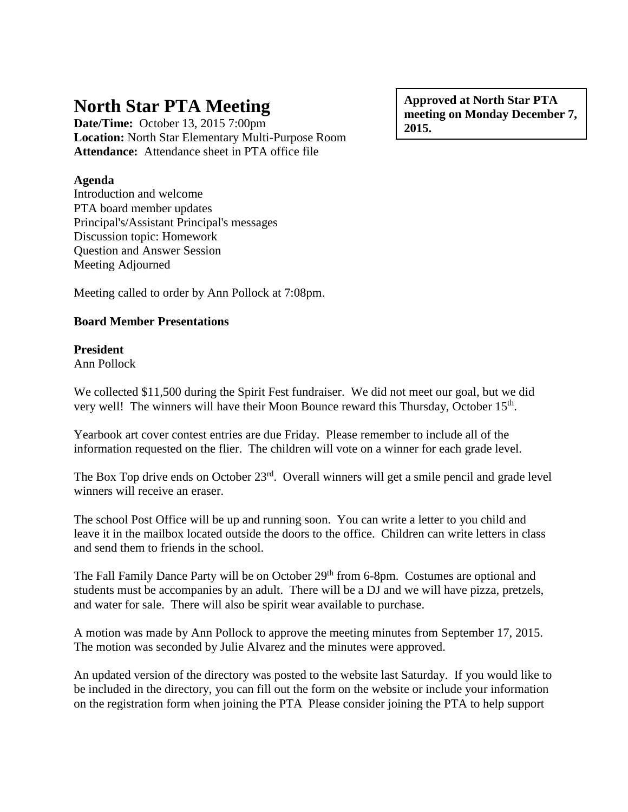# **North Star PTA Meeting**

**Date/Time:** October 13, 2015 7:00pm **Location:** North Star Elementary Multi-Purpose Room **Attendance:** Attendance sheet in PTA office file

## **Agenda**

Introduction and welcome PTA board member updates Principal's/Assistant Principal's messages Discussion topic: Homework Question and Answer Session Meeting Adjourned

Meeting called to order by Ann Pollock at 7:08pm.

## **Board Member Presentations**

# **President**

Ann Pollock

We collected \$11,500 during the Spirit Fest fundraiser. We did not meet our goal, but we did very well! The winners will have their Moon Bounce reward this Thursday, October 15<sup>th</sup>.

Yearbook art cover contest entries are due Friday. Please remember to include all of the information requested on the flier. The children will vote on a winner for each grade level.

The Box Top drive ends on October 23<sup>rd</sup>. Overall winners will get a smile pencil and grade level winners will receive an eraser.

The school Post Office will be up and running soon. You can write a letter to you child and leave it in the mailbox located outside the doors to the office. Children can write letters in class and send them to friends in the school.

The Fall Family Dance Party will be on October 29<sup>th</sup> from 6-8pm. Costumes are optional and students must be accompanies by an adult. There will be a DJ and we will have pizza, pretzels, and water for sale. There will also be spirit wear available to purchase.

A motion was made by Ann Pollock to approve the meeting minutes from September 17, 2015. The motion was seconded by Julie Alvarez and the minutes were approved.

An updated version of the directory was posted to the website last Saturday. If you would like to be included in the directory, you can fill out the form on the website or include your information on the registration form when joining the PTA Please consider joining the PTA to help support

**Approved at North Star PTA meeting on Monday December 7, 2015.**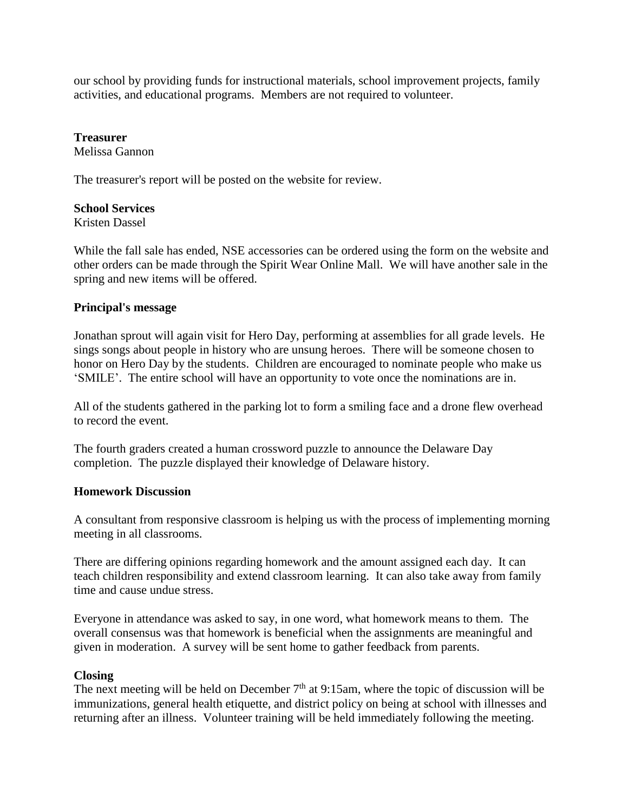our school by providing funds for instructional materials, school improvement projects, family activities, and educational programs. Members are not required to volunteer.

# **Treasurer**

Melissa Gannon

The treasurer's report will be posted on the website for review.

#### **School Services**

Kristen Dassel

While the fall sale has ended, NSE accessories can be ordered using the form on the website and other orders can be made through the Spirit Wear Online Mall. We will have another sale in the spring and new items will be offered.

### **Principal's message**

Jonathan sprout will again visit for Hero Day, performing at assemblies for all grade levels. He sings songs about people in history who are unsung heroes. There will be someone chosen to honor on Hero Day by the students. Children are encouraged to nominate people who make us 'SMILE'. The entire school will have an opportunity to vote once the nominations are in.

All of the students gathered in the parking lot to form a smiling face and a drone flew overhead to record the event.

The fourth graders created a human crossword puzzle to announce the Delaware Day completion. The puzzle displayed their knowledge of Delaware history.

#### **Homework Discussion**

A consultant from responsive classroom is helping us with the process of implementing morning meeting in all classrooms.

There are differing opinions regarding homework and the amount assigned each day. It can teach children responsibility and extend classroom learning. It can also take away from family time and cause undue stress.

Everyone in attendance was asked to say, in one word, what homework means to them. The overall consensus was that homework is beneficial when the assignments are meaningful and given in moderation. A survey will be sent home to gather feedback from parents.

#### **Closing**

The next meeting will be held on December  $7<sup>th</sup>$  at 9:15am, where the topic of discussion will be immunizations, general health etiquette, and district policy on being at school with illnesses and returning after an illness. Volunteer training will be held immediately following the meeting.